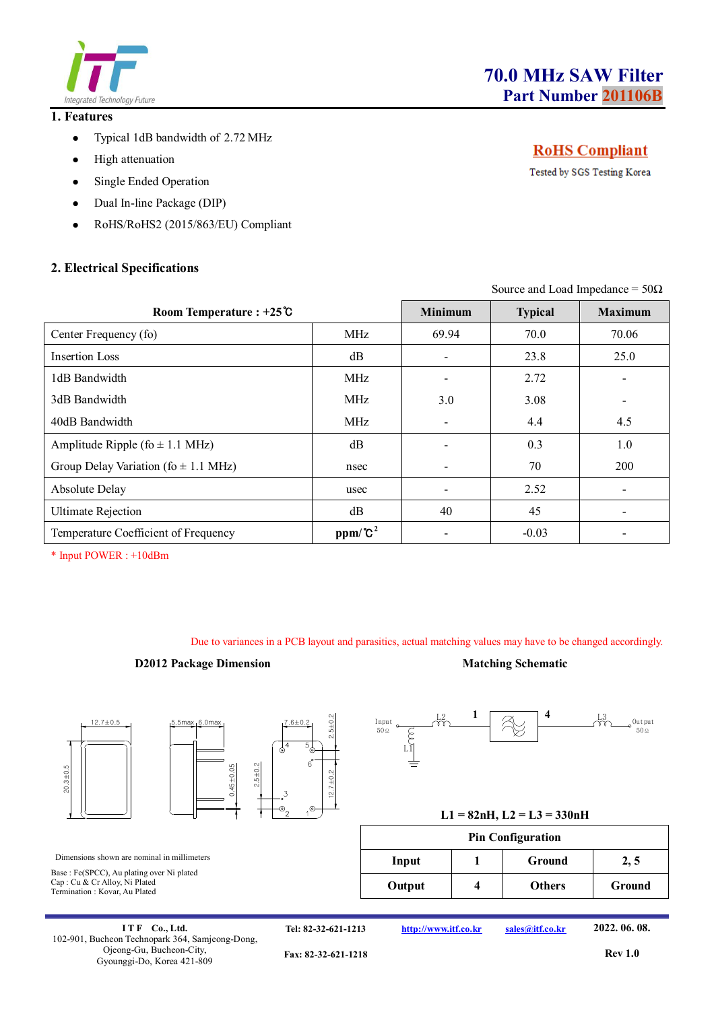

### **1. Features**

- Typical 1dB bandwidth of 2.72 MHz
- High attenuation
- Single Ended Operation
- Dual In-line Package (DIP)
- RoHS/RoHS2 (2015/863/EU) Compliant

# **2. Electrical Specifications**

# **RoHS** Compliant

Tested by SGS Testing Korea

Source and Load Impedance =  $50\Omega$ 

| Room Temperature : $+25^\circ$ C         |            | <b>Minimum</b> | <b>Typical</b> | <b>Maximum</b> |
|------------------------------------------|------------|----------------|----------------|----------------|
| Center Frequency (fo)                    | <b>MHz</b> | 69.94          | 70.0           | 70.06          |
| Insertion Loss                           | dB         |                | 23.8           | 25.0           |
| 1dB Bandwidth                            | <b>MHz</b> |                | 2.72           |                |
| 3dB Bandwidth                            | <b>MHz</b> | 3.0            | 3.08           |                |
| 40dB Bandwidth                           | <b>MHz</b> |                | 4.4            | 4.5            |
| Amplitude Ripple (fo $\pm$ 1.1 MHz)      | dB         |                | 0.3            | 1.0            |
| Group Delay Variation (fo $\pm$ 1.1 MHz) | nsec       |                | 70             | 200            |
| Absolute Delay                           | usec       |                | 2.52           |                |
| <b>Ultimate Rejection</b>                | dB         | 40             | 45             |                |
| Temperature Coefficient of Frequency     | $ppm/C^2$  |                | $-0.03$        |                |

\* Input POWER : +10dBm

Due to variances in a PCB layout and parasitics, actual matching values may have to be changed accordingly.

#### **D2012 Package Dimension Matching Schematic**









Termination : Kovar, Au Plated

Input,  $\begin{array}{cc} L2 & 1 \end{array}$   $\begin{array}{cc} \begin{array}{cc} \begin{array}{cc} \begin{array}{cc} \end{array} & \begin{array}{cc} \end{array} & \begin{array}{cc} \end{array} & \begin{array}{cc} \end{array} & \end{array} \end{array}$ 50Ω  $\mathcal{E}$ <sub>L1</sub> Output 50Ω  $1 \sqrt{2}$  4

| <b>Pin Configuration</b> |  |               |        |  |  |
|--------------------------|--|---------------|--------|--|--|
| Input                    |  | Ground        | 2, 5   |  |  |
| Output                   |  | <b>Others</b> | Ground |  |  |

**I T F Co., Ltd.** 102-901, Bucheon Technopark 364, Samjeong-Dong, Ojeong-Gu, Bucheon-City, Gyounggi-Do, Korea 421-809

**Tel: 82-32-621-1213 http://www.itf.co.kr sales@itf.co.kr 2022. 06. 08.**

**Fax: 82-32-621-1218 Rev 1.0**